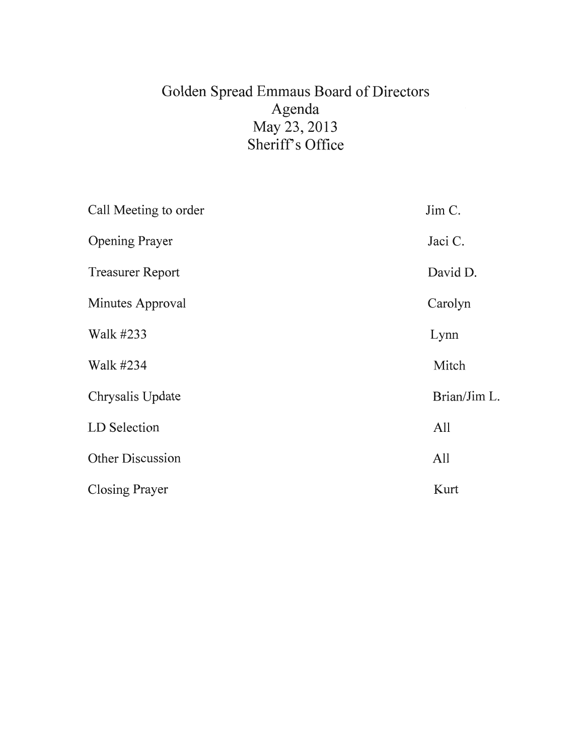# Golden Spread Emmaus Board of Directors Agenda May 23, 2013 Sheriff's Office

| Call Meeting to order   | Jim C.       |
|-------------------------|--------------|
| <b>Opening Prayer</b>   | Jaci C.      |
| <b>Treasurer Report</b> | David D.     |
| Minutes Approval        | Carolyn      |
| Walk #233               | Lynn         |
| Walk #234               | Mitch        |
| Chrysalis Update        | Brian/Jim L. |
| LD Selection            | All          |
| <b>Other Discussion</b> | All          |
| <b>Closing Prayer</b>   | Kurt         |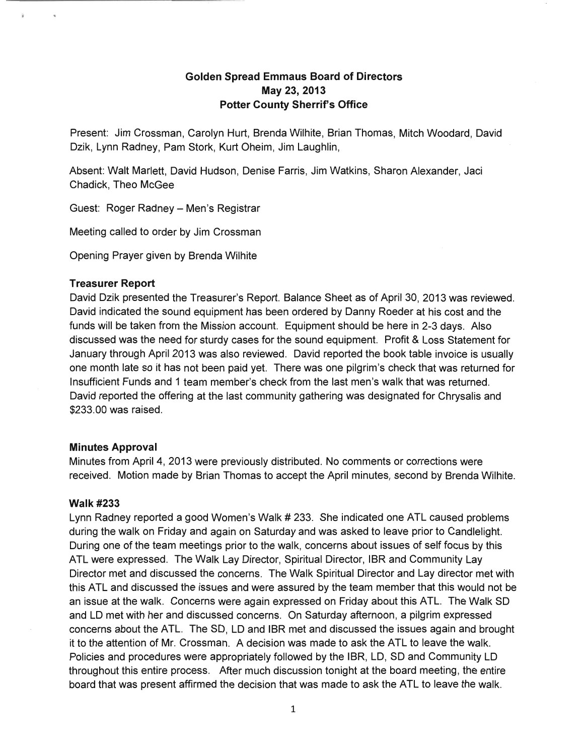# **Golden Spread Emmaus Board of Directors May 23,2013 Potter County Sherrif's Office**

Present: Jim Crossman, Carolyn Hurt, Brenda Wilhite, Brian Thomas, Mitch Woodard, David Dzik, lynn Radney, Pam Stork, Kurt Oheim, Jim laughlin,

Absent: Walt Marlett, David Hudson, Denise Farris, Jim Watkins, Sharon Alexander, Jaci Chadick, Theo McGee

Guest: Roger Radney - Men's Registrar

Meeting called to order by Jim Crossman

Opening Prayer given by Brenda Wilhite

#### **Treasurer Report**

David Dzik presented the Treasurer's Report. Balance Sheet as of April 30, 2013 was reviewed. David indicated the sound equipment has been ordered by Danny Roeder at his cost and the funds will be taken from the Mission account. Equipment should be here in 2-3 days. Also discussed was the need for sturdy cases for the sound equipment. Profit & loss Statement for January through April 2013 was also reviewed. David reported the book table invoice is usually one month late so it has not been paid yet. There was one pilgrim's check that was returned for Insufficient Funds and 1 team member's check from the last men's walk that was returned. David reported the offering at the last community gathering was designated for Chrysalis and \$233.00 was raised.

# **Minutes Approval**

Minutes from April 4, 2013 were previously distributed. No comments or corrections were received. Motion made by Brian Thomas to accept the April minutes, second by Brenda Wilhite.

# Walk #233

lynn Radney reported a good Women's Walk # 233. She indicated one ATl caused problems during the walk on Friday and again on Saturday and was asked to leave prior to Candlelight. During one of the team meetings prior to the walk, concerns about issues of self focus by this ATl were expressed. The Walk lay Director, Spiritual Director, IBR and Community lay Director met and discussed the concerns. The Walk Spiritual Director and lay director met with this ATl and discussed the issues and were assured by the team member that this would not be an issue at the walk. Concerns were again expressed on Friday about this ATL. The Walk SO and lD met with her and discussed concerns. On Saturday afternoon, a pilgrim expressed concerns about the ATL. The SD, LD and IBR met and discussed the issues again and brought it to the attention of Mr. Crossman. A decision was made to ask the ATl to leave the walk. Policies and procedures were appropriately followed by the IBR, lD, SO and Community lD throughout this entire process. After much discussion tonight at the board meeting, the entire board that was present affirmed the decision that was made to ask the ATl to leave the walk.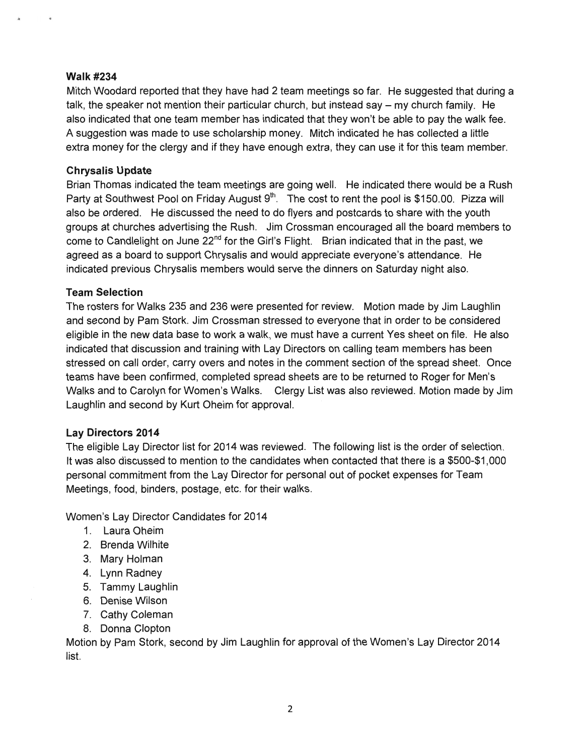#### Walk #234

Mitch Woodard reported that they have had 2 team meetings so far. He suggested that during a talk, the speaker not mention their particular church, but instead say  $-$  my church family. He also indicated that one team member has indicated that they won't be able to pay the walk fee. A suggestion was made to use scholarship money. Mitch indicated he has collected a little extra money for the clergy and if they have enough extra, they can use it for this team member.

# **Chrysalis Update**

Brian Thomas indicated the team meetings are going well. He indicated there would be a Rush Party at Southwest Pool on Friday August  $9<sup>th</sup>$ . The cost to rent the pool is \$150.00. Pizza will also be ordered. He discussed the need to do flyers and postcards to share with the youth groups at churches advertising the Rush. Jim Crossman encouraged all the board members to come to Candlelight on June 22<sup>nd</sup> for the Girl's Flight. Brian indicated that in the past, we agreed as a board to support Chrysalis and would appreciate everyone's attendance. He indicated previous Chrysalis members would serve the dinners on Saturday night also.

# **Team Selection**

The rosters for Walks 235 and 236 were presented for review. Motion made by Jim Laughlin and second by Pam Stork. Jim Crossman stressed to everyone that in order to be considered eligible in the new data base to work a walk, we must have a current Yes sheet on file. He also indicated that discussion and training with Lay Directors on calling team members has been stressed on call order, carry overs and notes in the comment section of the spread sheet. Once teams have been confirmed, completed spread sheets are to be returned to Roger for Men's Walks and to Carolyn for Women's Walks. Clergy List was also reviewed. Motion made by Jim Laughlin and second by Kurt Oheim for approval.

# **Lay Directors 2014**

The eligible Lay Director list for 2014 was reviewed. The following list is the order of selection. It was also discussed to mention to the candidates when contacted that there is a \$500-\$1,000 personal commitment from the Lay Director for personal out of pocket expenses for Team Meetings, food, binders, postage, etc. for their walks.

Women's Lay Director Candidates for 2014

- 1. Laura Oheim
- 2. Brenda Wilhite
- 3. Mary Holman
- 4. Lynn Radney
- 5. Tammy Laughlin
- 6. Denise Wilson
- 7. Cathy Coleman
- 8. Donna Clopton

Motion by Pam Stork, second by Jim Laughlin for approval of the Women's Lay Director 2014 list.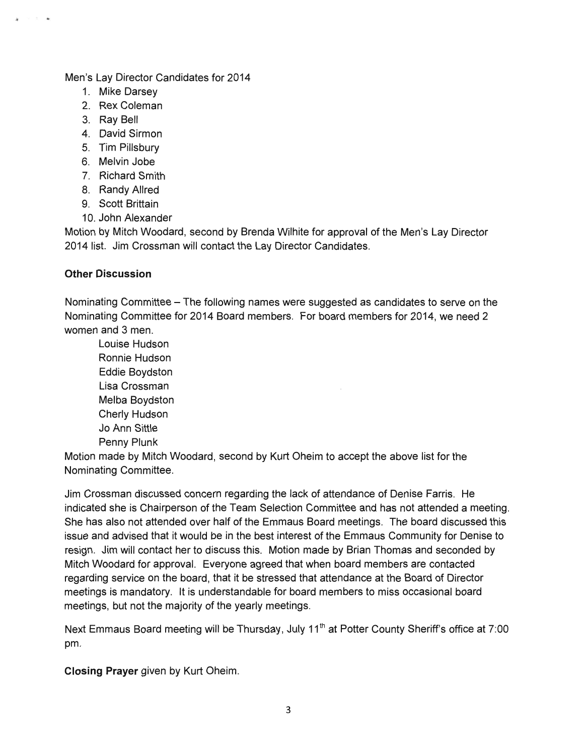#### Men's Lay Director Candidates for 2014

- 1. Mike Darsey
- 2. Rex Coleman
- 3. Ray Bell
- 4. David Sirmon
- 5. Tim Pillsbury
- 6. Melvin Jobe
- 7. Richard Smith
- 8. Randy Allred
- 9. Scott Brittain
- 10. John Alexander

Motion by Mitch Woodard, second by Brenda Wilhite for approval of the Men's Lay Director 2014 list. Jim Crossman will contact the Lay Director Candidates.

# **Other Discussion**

Nominating Committee – The following names were suggested as candidates to serve on the Nominating Committee for 2014 Board members. For board members for 2014. we need 2 women and 3 men.

Louise Hudson Ronnie Hudson Eddie Boydston Lisa Crossman Melba Boydston Cherly Hudson Jo Ann Sittle Penny Plunk

Motion made by Mitch Woodard, second by Kurt Oheim to accept the above list for the Nominating Committee.

Jim Crossman discussed concern regarding the lack of attendance of Denise Farris. He indicated she is Chairperson of the Team Selection Committee and has not attended a meeting. She has also not attended over half of the Emmaus Board meetings. The board discussed this issue and advised that it would be in the best interest of the Emmaus Community for Denise to resign. Jim will contact her to discuss this. Motion made by Brian Thomas and seconded by Mitch Woodard for approval. Everyone agreed that when board members are contacted regarding service on the board, that it be stressed that attendance at the Board of Director meetings is mandatory. It is understandable for board members to miss occasional board meetings, but not the majority of the yearly meetings.

Next Emmaus Board meeting will be Thursday, July 11<sup>th</sup> at Potter County Sheriff's office at 7:00 pm.

**Closing Prayer** given by Kurt Oheim.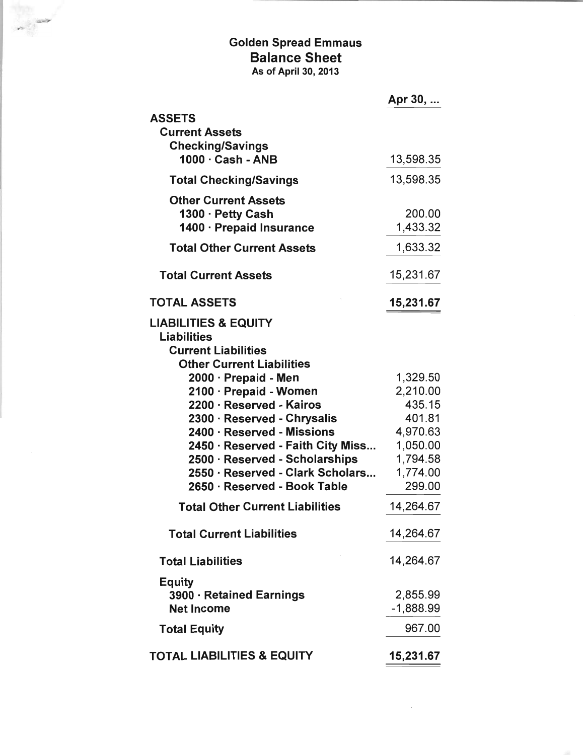# Golden Spread Emmaus Balance Sheet As of April 30, 2013

,

|                                                                                                                                                                                                       | Apr 30,                                                          |
|-------------------------------------------------------------------------------------------------------------------------------------------------------------------------------------------------------|------------------------------------------------------------------|
| <b>ASSETS</b><br><b>Current Assets</b><br><b>Checking/Savings</b>                                                                                                                                     |                                                                  |
| $1000 \cdot$ Cash - ANB                                                                                                                                                                               | 13,598.35                                                        |
| <b>Total Checking/Savings</b>                                                                                                                                                                         | 13,598.35                                                        |
| <b>Other Current Assets</b><br>1300 · Petty Cash<br>1400 · Prepaid Insurance                                                                                                                          | 200.00<br>1,433.32                                               |
| <b>Total Other Current Assets</b>                                                                                                                                                                     | 1,633.32                                                         |
| <b>Total Current Assets</b>                                                                                                                                                                           | 15,231.67                                                        |
| <b>TOTAL ASSETS</b>                                                                                                                                                                                   | 15,231.67                                                        |
| <b>LIABILITIES &amp; EQUITY</b><br><b>Liabilities</b><br><b>Current Liabilities</b><br><b>Other Current Liabilities</b><br>2000 · Prepaid - Men<br>2100 · Prepaid - Women<br>2200 · Reserved - Kairos | 1,329.50<br>2,210.00<br>435.15                                   |
| 2300 · Reserved - Chrysalis<br>2400 · Reserved - Missions<br>2450 · Reserved - Faith City Miss<br>2500 · Reserved - Scholarships<br>2550 · Reserved - Clark Scholars<br>2650 · Reserved - Book Table  | 401.81<br>4,970.63<br>1,050.00<br>1,794.58<br>1,774.00<br>299.00 |
| <b>Total Other Current Liabilities</b>                                                                                                                                                                | 14,264.67                                                        |
| <b>Total Current Liabilities</b>                                                                                                                                                                      | 14,264.67                                                        |
| <b>Total Liabilities</b>                                                                                                                                                                              | 14,264.67                                                        |
| <b>Equity</b><br>3900 · Retained Earnings<br><b>Net Income</b>                                                                                                                                        | 2,855.99<br>$-1,888.99$                                          |
| <b>Total Equity</b>                                                                                                                                                                                   | 967.00                                                           |
| <b>TOTAL LIABILITIES &amp; EQUITY</b>                                                                                                                                                                 | 15,231.67                                                        |